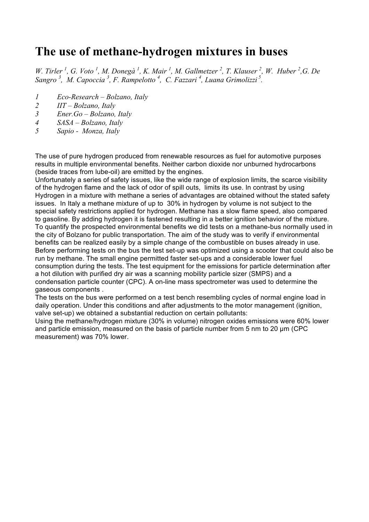#### **The use of methane-hydrogen mixtures in buses**

*W. Tirler*<sup>1</sup>, *G. Voto*<sup>1</sup>, *M. Donegà*<sup>1</sup>, *K. Mair*<sup>1</sup>, *M. Gallmetzer*<sup>2</sup>, *T. Klauser*<sup>2</sup>, *W. Huber*<sup>2</sup>, *G. De Sangro <sup>3</sup> , M. Capoccia 3 , F. Rampelotto 4 , C. Fazzari <sup>4</sup> , Luana Grimolizzi 5.*

- *1 Eco-Research Bolzano, Italy*
- *2 IIT Bolzano, Italy*
- *3 Ener.Go Bolzano, Italy*
- *4 SASA Bolzano, Italy*
- *5 Sapio Monza, Italy*

The use of pure hydrogen produced from renewable resources as fuel for automotive purposes results in multiple environmental benefits. Neither carbon dioxide nor unburned hydrocarbons (beside traces from lube-oil) are emitted by the engines.

Unfortunately a series of safety issues, like the wide range of explosion limits, the scarce visibility of the hydrogen flame and the lack of odor of spill outs, limits its use. In contrast by using Hydrogen in a mixture with methane a series of advantages are obtained without the stated safety issues. In Italy a methane mixture of up to 30% in hydrogen by volume is not subject to the special safety restrictions applied for hydrogen. Methane has a slow flame speed, also compared to gasoline. By adding hydrogen it is fastened resulting in a better ignition behavior of the mixture. To quantify the prospected environmental benefits we did tests on a methane-bus normally used in the city of Bolzano for public transportation. The aim of the study was to verify if environmental benefits can be realized easily by a simple change of the combustible on buses already in use. Before performing tests on the bus the test set-up was optimized using a scooter that could also be run by methane. The small engine permitted faster set-ups and a considerable lower fuel consumption during the tests. The test equipment for the emissions for particle determination after a hot dilution with purified dry air was a scanning mobility particle sizer (SMPS) and a condensation particle counter (CPC). A on-line mass spectrometer was used to determine the gaseous components .

The tests on the bus were performed on a test bench resembling cycles of normal engine load in daily operation. Under this conditions and after adjustments to the motor management (ignition, valve set-up) we obtained a substantial reduction on certain pollutants:

Using the methane/hydrogen mixture (30% in volume) nitrogen oxides emissions were 60% lower and particle emission, measured on the basis of particle number from 5 nm to 20 µm (CPC measurement) was 70% lower.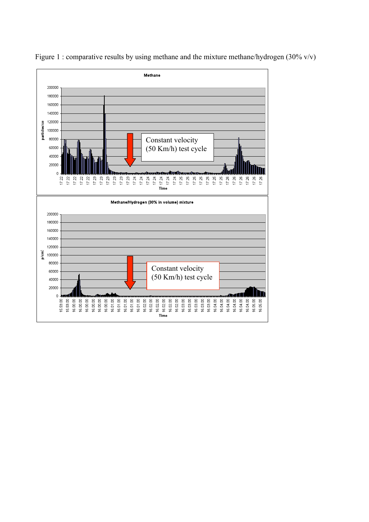

Figure 1 : comparative results by using methane and the mixture methane/hydrogen (30% v/v)